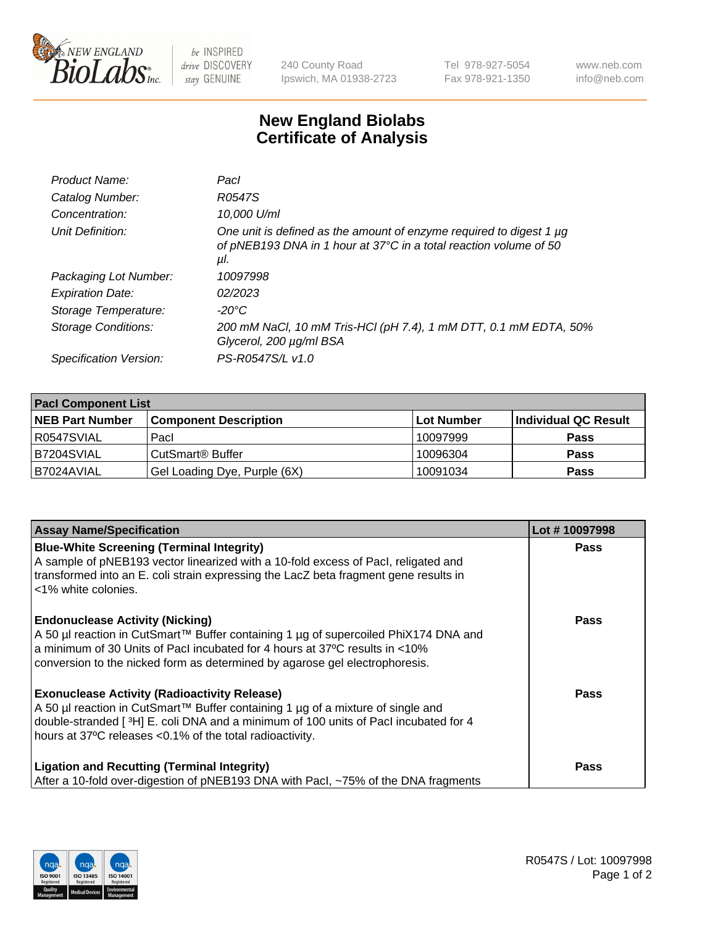

 $be$  INSPIRED drive DISCOVERY stay GENUINE

240 County Road Ipswich, MA 01938-2723 Tel 978-927-5054 Fax 978-921-1350 www.neb.com info@neb.com

## **New England Biolabs Certificate of Analysis**

| Product Name:           | Pacl                                                                                                                                            |
|-------------------------|-------------------------------------------------------------------------------------------------------------------------------------------------|
| Catalog Number:         | R0547S                                                                                                                                          |
| Concentration:          | 10,000 U/ml                                                                                                                                     |
| Unit Definition:        | One unit is defined as the amount of enzyme required to digest 1 µg<br>of pNEB193 DNA in 1 hour at 37°C in a total reaction volume of 50<br>μl. |
| Packaging Lot Number:   | 10097998                                                                                                                                        |
| <b>Expiration Date:</b> | 02/2023                                                                                                                                         |
| Storage Temperature:    | $-20^{\circ}$ C                                                                                                                                 |
| Storage Conditions:     | 200 mM NaCl, 10 mM Tris-HCl (pH 7.4), 1 mM DTT, 0.1 mM EDTA, 50%<br>Glycerol, 200 µg/ml BSA                                                     |
| Specification Version:  | PS-R0547S/L v1.0                                                                                                                                |

| <b>Pacl Component List</b> |                              |              |                      |  |  |
|----------------------------|------------------------------|--------------|----------------------|--|--|
| <b>NEB Part Number</b>     | <b>Component Description</b> | l Lot Number | Individual QC Result |  |  |
| R0547SVIAL                 | Pacl                         | 10097999     | <b>Pass</b>          |  |  |
| B7204SVIAL                 | l CutSmart® Buffer           | 10096304     | <b>Pass</b>          |  |  |
| IB7024AVIAL                | Gel Loading Dye, Purple (6X) | 10091034     | <b>Pass</b>          |  |  |

| <b>Assay Name/Specification</b>                                                                                                                                                                                                                                                             | Lot #10097998 |
|---------------------------------------------------------------------------------------------------------------------------------------------------------------------------------------------------------------------------------------------------------------------------------------------|---------------|
| <b>Blue-White Screening (Terminal Integrity)</b><br>A sample of pNEB193 vector linearized with a 10-fold excess of Pacl, religated and<br>transformed into an E. coli strain expressing the LacZ beta fragment gene results in<br><1% white colonies.                                       | <b>Pass</b>   |
| <b>Endonuclease Activity (Nicking)</b><br>A 50 µl reaction in CutSmart™ Buffer containing 1 µg of supercoiled PhiX174 DNA and<br>a minimum of 30 Units of Pacl incubated for 4 hours at 37°C results in <10%<br>conversion to the nicked form as determined by agarose gel electrophoresis. | Pass          |
| <b>Exonuclease Activity (Radioactivity Release)</b><br>A 50 µl reaction in CutSmart™ Buffer containing 1 µg of a mixture of single and<br>double-stranded [3H] E. coli DNA and a minimum of 100 units of Pacl incubated for 4<br>hours at 37°C releases <0.1% of the total radioactivity.   | <b>Pass</b>   |
| <b>Ligation and Recutting (Terminal Integrity)</b><br>After a 10-fold over-digestion of pNEB193 DNA with Pacl, ~75% of the DNA fragments                                                                                                                                                    | Pass          |